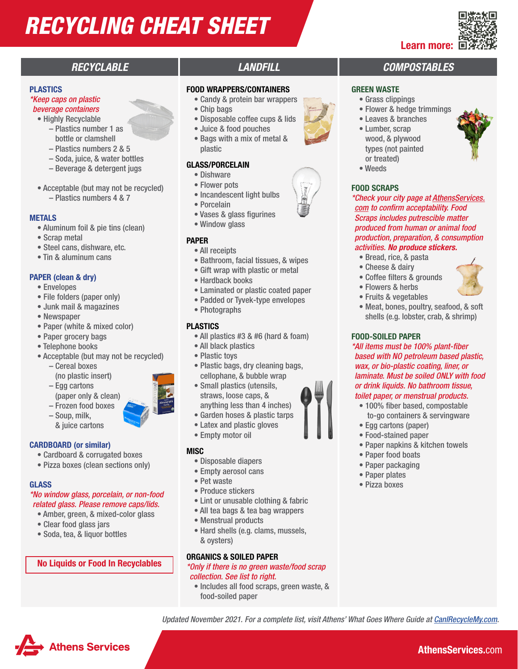# *RECYCLING CHEAT SHEET*

#### PLASTICS

#### *\*Keep caps on plastic beverage containers*

• Highly Recyclable

- Plastics number 1 as bottle or clamshell
- Plastics numbers 2 & 5
- Soda, juice, & water bottles
- Beverage & detergent jugs
- Acceptable (but may not be recycled) – Plastics numbers 4 & 7

#### METALS

- Aluminum foil & pie tins (clean)
- Scrap metal
- Steel cans, dishware, etc.
- Tin & aluminum cans

#### PAPER (clean & dry)

- Envelopes
- File folders (paper only)
- Junk mail & magazines
- Newspaper
- Paper (white & mixed color)
- Paper grocery bags
- Telephone books
- Acceptable (but may not be recycled)
	- Cereal boxes
	- (no plastic insert)
	- Egg cartons (paper only & clean)
	- Frozen food boxes
	- Soup, milk, & juice cartons

#### CARDBOARD (or similar)

- Cardboard & corrugated boxes
- Pizza boxes (clean sections only)

#### GLASS

#### *\*No window glass, porcelain, or non-food related glass. Please remove caps/lids.*

- Amber, green, & mixed-color glass
- Clear food glass jars

Athens Services

• Soda, tea, & liquor bottles

#### No Liquids or Food In Recyclables

#### FOOD WRAPPERS/CONTAINERS

- Candy & protein bar wrappers
- Chip bags
- Disposable coffee cups & lids
- Juice & food pouches
- Bags with a mix of metal & plastic

#### GLASS/PORCELAIN

- Dishware
- Flower pots
- Incandescent light bulbs
- Porcelain
- Vases & glass figurines
- Window glass

#### PAPER

- All receipts
- Bathroom, facial tissues, & wipes
- Gift wrap with plastic or metal
- Hardback books
- Laminated or plastic coated paper
- Padded or Tyvek-type envelopes
- Photographs

#### PLASTICS

- All plastics #3 & #6 (hard & foam)
- All black plastics
- Plastic toys
- Plastic bags, dry cleaning bags, cellophane, & bubble wrap
- Small plastics (utensils, straws, loose caps, & anything less than 4 inches)
- Garden hoses & plastic tarps
- Latex and plastic gloves
- Empty motor oil

#### **MISC**

- Disposable diapers
- Empty aerosol cans
- Pet waste
- Produce stickers
- Lint or unusable clothing & fabric
- All tea bags & tea bag wrappers
- Menstrual products
- Hard shells (e.g. clams, mussels, & oysters)

#### ORGANICS & SOILED PAPER

*\*Only if there is no green waste/food scrap collection. See list to right.*

• Includes all food scraps, green waste, & food-soiled paper

*Updated November 2021. For a complete list, visit Athens' What Goes Where Guide at [CanIRecycleMy.com.](http://CanIRecycleMy.com)*

### *RECYCLABLE LANDFILL COMPOSTABLES*

Learn more:

#### GREEN WASTE

- Grass clippings
- Flower & hedge trimmings
- Leaves & branches
- Lumber, scrap wood, & plywood types (not painted or treated)
- Weeds

#### FOOD SCRAPS

*\*Check your city page at [AthensServices.](https://athensservices.com/) [com](https://athensservices.com/) to confirm acceptability. Food Scraps includes putrescible matter produced from human or animal food production, preparation, & consumption activities. No produce stickers.*

- Bread, rice, & pasta
- Cheese & dairy
- Coffee filters & grounds
- Flowers & herbs
- Fruits & vegetables
- Meat, bones, poultry, seafood, & soft shells (e.g. lobster, crab, & shrimp)

#### FOOD-SOILED PAPER

*\*All items must be 100% plant-fiber based with NO petroleum based plastic, wax, or bio-plastic coating, liner, or laminate. Must be soiled ONLY with food or drink liquids. No bathroom tissue, toilet paper, or menstrual products.* 

• 100% fiber based, compostable to-go containers & servingware

• Paper napkins & kitchen towels

AthensServices.com

• Egg cartons (paper) • Food-stained paper

• Paper food boats • Paper packaging • Paper plates • Pizza boxes